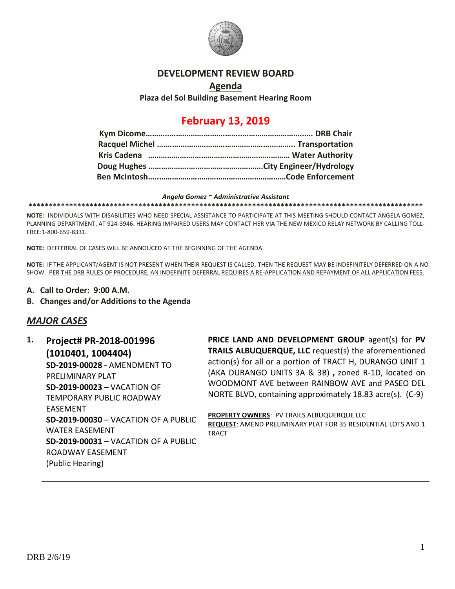

## **DEVELOPMENT REVIEW BOARD**

# **Agenda**

## **Plaza del Sol Building Basement Hearing Room**

## **February 13, 2019**

#### *Angela Gomez ~ Administrative Assistant*

**\*\*\*\*\*\*\*\*\*\*\*\*\*\*\*\*\*\*\*\*\*\*\*\*\*\*\*\*\*\*\*\*\*\*\*\*\*\*\*\*\*\*\*\*\*\*\*\*\*\*\*\*\*\*\*\*\*\*\*\*\*\*\*\*\*\*\*\*\*\*\*\*\*\*\*\*\*\*\*\*\*\*\*\*\*\*\*\*\*\*\*\*\*\*\*\*\***

**NOTE:** INDIVIDUALS WITH DISABILITIES WHO NEED SPECIAL ASSISTANCE TO PARTICIPATE AT THIS MEETING SHOULD CONTACT ANGELA GOMEZ, PLANNING DEPARTMENT, AT 924-3946. HEARING IMPAIRED USERS MAY CONTACT HER VIA THE NEW MEXICO RELAY NETWORK BY CALLING TOLL-FREE:1-800-659-8331.

**NOTE:** DEFFERRAL OF CASES WILL BE ANNOUCED AT THE BEGINNING OF THE AGENDA.

**NOTE:** IF THE APPLICANT/AGENT IS NOT PRESENT WHEN THEIR REQUEST IS CALLED, THEN THE REQUEST MAY BE INDEFINITELY DEFERRED ON A NO SHOW. PER THE DRB RULES OF PROCEDURE, AN INDEFINITE DEFERRAL REQUIRES A RE-APPLICATION AND REPAYMENT OF ALL APPLICATION FEES.

- **A. Call to Order: 9:00 A.M.**
- **B. Changes and/or Additions to the Agenda**

## *MAJOR CASES*

**1. Project# PR-2018-001996 (1010401, 1004404) SD-2019-00028 -** AMENDMENT TO PRELIMINARY PLAT **SD-2019-00023 –** VACATION OF TEMPORARY PUBLIC ROADWAY EASEMENT **SD-2019-00030** – VACATION OF A PUBLIC WATER EASEMENT **SD-2019-00031** – VACATION OF A PUBLIC ROADWAY EASEMENT (Public Hearing)

**PRICE LAND AND DEVELOPMENT GROUP** agent(s) for **PV TRAILS ALBUQUERQUE, LLC** request(s) the aforementioned action(s) for all or a portion of TRACT H, DURANGO UNIT 1 (AKA DURANGO UNITS 3A & 3B) **,** zoned R-1D, located on WOODMONT AVE between RAINBOW AVE and PASEO DEL NORTE BLVD, containing approximately 18.83 acre(s). (C-9)

**PROPERTY OWNERS**: PV TRAILS ALBUQUERQUE LLC **REQUEST**: AMEND PRELIMINARY PLAT FOR 35 RESIDENTIAL LOTS AND 1 TRACT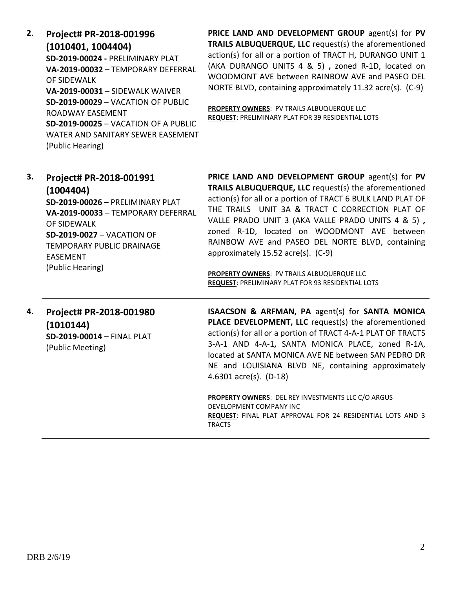**2**. **Project# PR-2018-001996 (1010401, 1004404) SD-2019-00024 -** PRELIMINARY PLAT **VA-2019-00032 –** TEMPORARY DEFERRAL OF SIDEWALK **VA-2019-00031** – SIDEWALK WAIVER **SD-2019-00029** – VACATION OF PUBLIC ROADWAY EASEMENT **SD-2019-00025** – VACATION OF A PUBLIC WATER AND SANITARY SEWER EASEMENT (Public Hearing)

**PRICE LAND AND DEVELOPMENT GROUP** agent(s) for **PV TRAILS ALBUQUERQUE, LLC** request(s) the aforementioned action(s) for all or a portion of TRACT H, DURANGO UNIT 1 (AKA DURANGO UNITS 4 & 5) **,** zoned R-1D, located on WOODMONT AVE between RAINBOW AVE and PASEO DEL NORTE BLVD, containing approximately 11.32 acre(s). (C-9)

**PROPERTY OWNERS**: PV TRAILS ALBUQUERQUE LLC **REQUEST**: PRELIMINARY PLAT FOR 39 RESIDENTIAL LOTS

| 3. | Project# PR-2018-001991<br>(1004404)<br>SD-2019-00026 - PRELIMINARY PLAT<br>VA-2019-00033 - TEMPORARY DEFERRAL<br>OF SIDEWALK<br><b>SD-2019-0027 - VACATION OF</b><br><b>TEMPORARY PUBLIC DRAINAGE</b><br><b>EASEMENT</b><br>(Public Hearing) | PRICE LAND AND DEVELOPMENT GROUP agent(s) for PV<br>TRAILS ALBUQUERQUE, LLC request(s) the aforementioned<br>action(s) for all or a portion of TRACT 6 BULK LAND PLAT OF<br>THE TRAILS UNIT 3A & TRACT C CORRECTION PLAT OF<br>VALLE PRADO UNIT 3 (AKA VALLE PRADO UNITS 4 & 5),<br>zoned R-1D, located on WOODMONT AVE between<br>RAINBOW AVE and PASEO DEL NORTE BLVD, containing<br>approximately 15.52 acre(s). (C-9)<br><b>PROPERTY OWNERS: PV TRAILS ALBUQUERQUE LLC</b><br><b>REQUEST: PRELIMINARY PLAT FOR 93 RESIDENTIAL LOTS</b> |
|----|-----------------------------------------------------------------------------------------------------------------------------------------------------------------------------------------------------------------------------------------------|--------------------------------------------------------------------------------------------------------------------------------------------------------------------------------------------------------------------------------------------------------------------------------------------------------------------------------------------------------------------------------------------------------------------------------------------------------------------------------------------------------------------------------------------|
| 4. | Project# PR-2018-001980                                                                                                                                                                                                                       | ISAACSON & ARFMAN, PA agent(s) for SANTA MONICA                                                                                                                                                                                                                                                                                                                                                                                                                                                                                            |

**(1010144) SD-2019-00014 –** FINAL PLAT (Public Meeting)

**ISAACSON & ARFMAN, PA** agent(s) for **SANTA MONICA PLACE DEVELOPMENT, LLC** request(s) the aforementioned action(s) for all or a portion of TRACT 4-A-1 PLAT OF TRACTS 3-A-1 AND 4-A-1**,** SANTA MONICA PLACE, zoned R-1A, located at SANTA MONICA AVE NE between SAN PEDRO DR NE and LOUISIANA BLVD NE, containing approximately 4.6301 acre(s). (D-18)

**PROPERTY OWNERS**: DEL REY INVESTMENTS LLC C/O ARGUS DEVELOPMENT COMPANY INC **REQUEST**: FINAL PLAT APPROVAL FOR 24 RESIDENTIAL LOTS AND 3 TRACTS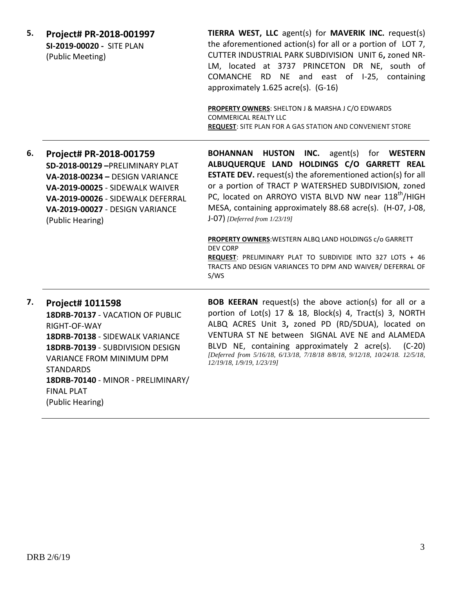| 5. | Project# PR-2018-001997<br>SI-2019-00020 - SITE PLAN<br>(Public Meeting)                                                                                                                                                                                                           | TIERRA WEST, LLC agent(s) for MAVERIK INC. request(s)<br>the aforementioned action(s) for all or a portion of LOT 7,<br>CUTTER INDUSTRIAL PARK SUBDIVISION UNIT 6, zoned NR-<br>LM, located at 3737 PRINCETON DR NE, south of<br>COMANCHE RD<br>NE and east of I-25, containing<br>approximately 1.625 acre(s). (G-16)<br>PROPERTY OWNERS: SHELTON J & MARSHA J C/O EDWARDS<br><b>COMMERICAL REALTY LLC</b><br><b>REQUEST: SITE PLAN FOR A GAS STATION AND CONVENIENT STORE</b>                                                                                                                                                               |
|----|------------------------------------------------------------------------------------------------------------------------------------------------------------------------------------------------------------------------------------------------------------------------------------|-----------------------------------------------------------------------------------------------------------------------------------------------------------------------------------------------------------------------------------------------------------------------------------------------------------------------------------------------------------------------------------------------------------------------------------------------------------------------------------------------------------------------------------------------------------------------------------------------------------------------------------------------|
| 6. | Project# PR-2018-001759<br>SD-2018-00129-PRELIMINARY PLAT<br>VA-2018-00234 - DESIGN VARIANCE<br>VA-2019-00025 - SIDEWALK WAIVER<br>VA-2019-00026 - SIDEWALK DEFERRAL<br>VA-2019-00027 - DESIGN VARIANCE<br>(Public Hearing)                                                        | <b>HUSTON</b><br>INC.<br><b>BOHANNAN</b><br>agent(s) for <b>WESTERN</b><br>ALBUQUERQUE LAND HOLDINGS C/O GARRETT REAL<br><b>ESTATE DEV.</b> request(s) the aforementioned action(s) for all<br>or a portion of TRACT P WATERSHED SUBDIVISION, zoned<br>PC, located on ARROYO VISTA BLVD NW near 118 <sup>th</sup> /HIGH<br>MESA, containing approximately 88.68 acre(s). (H-07, J-08,<br>$J-O7$ ) [Deferred from $1/23/19$ ]<br>PROPERTY OWNERS: WESTERN ALBQ LAND HOLDINGS c/o GARRETT<br><b>DEV CORP</b><br>REQUEST: PRELIMINARY PLAT TO SUBDIVIDE INTO 327 LOTS + 46<br>TRACTS AND DESIGN VARIANCES TO DPM AND WAIVER/ DEFERRAL OF<br>S/WS |
| 7. | <b>Project# 1011598</b><br>18DRB-70137 - VACATION OF PUBLIC<br>RIGHT-OF-WAY<br>18DRB-70138 - SIDEWALK VARIANCE<br>18DRB-70139 - SUBDIVISION DESIGN<br>VARIANCE FROM MINIMUM DPM<br><b>STANDARDS</b><br>18DRB-70140 - MINOR - PRELIMINARY/<br><b>FINAL PLAT</b><br>(Public Hearing) | <b>BOB KEERAN</b> request(s) the above action(s) for all or a<br>portion of Lot(s) 17 & 18, Block(s) 4, Tract(s) 3, NORTH<br>ALBQ ACRES Unit 3, zoned PD (RD/5DUA), located on<br>VENTURA ST NE between SIGNAL AVE NE and ALAMEDA<br>BLVD NE, containing approximately 2 acre(s).<br>$(C-20)$<br>[Deferred from 5/16/18, 6/13/18, 7/18/18 8/8/18, 9/12/18, 10/24/18. 12/5/18,<br>12/19/18, 1/9/19, 1/23/19]                                                                                                                                                                                                                                   |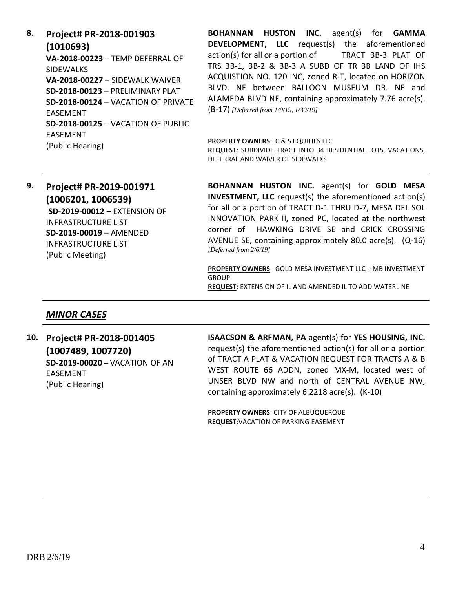**8. Project# PR-2018-001903 (1010693) VA-2018-00223** – TEMP DEFERRAL OF SIDEWALKS **VA-2018-00227** – SIDEWALK WAIVER **SD-2018-00123** – PRELIMINARY PLAT **SD-2018-00124** – VACATION OF PRIVATE EASEMENT **SD-2018-00125** – VACATION OF PUBLIC EASEMENT (Public Hearing)

**BOHANNAN HUSTON INC.** agent(s) for **GAMMA DEVELOPMENT, LLC** request(s) the aforementioned action(s) for all or a portion of TRACT 3B-3 PLAT OF TRS 3B-1, 3B-2 & 3B-3 A SUBD OF TR 3B LAND OF IHS ACQUISTION NO. 120 INC, zoned R-T, located on HORIZON BLVD. NE between BALLOON MUSEUM DR. NE and ALAMEDA BLVD NE, containing approximately 7.76 acre(s). (B-17) *[Deferred from 1/9/19, 1/30/19]*

#### **PROPERTY OWNERS**: C & S EQUITIES LLC

**REQUEST**: SUBDIVIDE TRACT INTO 34 RESIDENTIAL LOTS, VACATIONS, DEFERRAL AND WAIVER OF SIDEWALKS

**9. Project# PR-2019-001971 (1006201, 1006539) SD-2019-00012 –** EXTENSION OF INFRASTRUCTURE LIST **SD-2019-00019** – AMENDED INFRASTRUCTURE LIST (Public Meeting)

**BOHANNAN HUSTON INC.** agent(s) for **GOLD MESA INVESTMENT, LLC** request(s) the aforementioned action(s) for all or a portion of TRACT D-1 THRU D-7, MESA DEL SOL INNOVATION PARK II**,** zoned PC, located at the northwest corner of HAWKING DRIVE SE and CRICK CROSSING AVENUE SE, containing approximately 80.0 acre(s). (Q-16) *[Deferred from 2/6/19]*

**PROPERTY OWNERS**: GOLD MESA INVESTMENT LLC + MB INVESTMENT GROUP **REQUEST**: EXTENSION OF IL AND AMENDED IL TO ADD WATERLINE

### *MINOR CASES*

**10. Project# PR-2018-001405 (1007489, 1007720) SD-2019-00020** – VACATION OF AN EASEMENT (Public Hearing)

**ISAACSON & ARFMAN, PA** agent(s) for **YES HOUSING, INC.** request(s) the aforementioned action(s) for all or a portion of TRACT A PLAT & VACATION REQUEST FOR TRACTS A & B WEST ROUTE 66 ADDN, zoned MX-M, located west of UNSER BLVD NW and north of CENTRAL AVENUE NW, containing approximately 6.2218 acre(s). (K-10)

**PROPERTY OWNERS**: CITY OF ALBUQUERQUE **REQUEST**:VACATION OF PARKING EASEMENT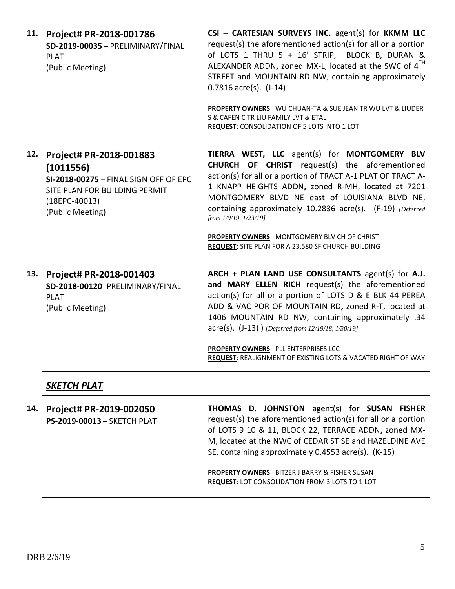| 11. | Project# PR-2018-001786<br>SD-2019-00035 - PRELIMINARY/FINAL<br><b>PLAT</b><br>(Public Meeting)                                                       | CSI - CARTESIAN SURVEYS INC. agent(s) for KKMM LLC<br>request(s) the aforementioned action(s) for all or a portion<br>of LOTS 1 THRU 5 + 16' STRIP, BLOCK B, DURAN &<br>ALEXANDER ADDN, zoned MX-L, located at the SWC of 4 <sup>TH</sup><br>STREET and MOUNTAIN RD NW, containing approximately<br>$0.7816$ acre(s). $(J-14)$<br>PROPERTY OWNERS: WU CHUAN-TA & SUE JEAN TR WU LVT & LIUDER<br>S & CAFEN C TR LIU FAMILY LVT & ETAL<br><b>REQUEST: CONSOLIDATION OF 5 LOTS INTO 1 LOT</b> |
|-----|-------------------------------------------------------------------------------------------------------------------------------------------------------|--------------------------------------------------------------------------------------------------------------------------------------------------------------------------------------------------------------------------------------------------------------------------------------------------------------------------------------------------------------------------------------------------------------------------------------------------------------------------------------------|
| 12. | Project# PR-2018-001883<br>(1011556)<br>SI-2018-00275 - FINAL SIGN OFF OF EPC<br>SITE PLAN FOR BUILDING PERMIT<br>$(18EPC-40013)$<br>(Public Meeting) | TIERRA WEST, LLC agent(s) for MONTGOMERY BLV<br><b>CHURCH OF CHRIST</b> request(s) the aforementioned<br>action(s) for all or a portion of TRACT A-1 PLAT OF TRACT A-<br>1 KNAPP HEIGHTS ADDN, zoned R-MH, located at 7201<br>MONTGOMERY BLVD NE east of LOUISIANA BLVD NE,<br>containing approximately 10.2836 acre(s). (F-19) [Deferred<br>from 1/9/19, 1/23/19]<br>PROPERTY OWNERS: MONTGOMERY BLV CH OF CHRIST<br>REQUEST: SITE PLAN FOR A 23,580 SF CHURCH BUILDING                   |
|     | 13. Project# PR-2018-001403<br>SD-2018-00120- PRELIMINARY/FINAL<br><b>PLAT</b><br>(Public Meeting)                                                    | ARCH + PLAN LAND USE CONSULTANTS agent(s) for A.J.<br>and MARY ELLEN RICH request(s) the aforementioned<br>action(s) for all or a portion of LOTS D & E BLK 44 PEREA<br>ADD & VAC POR OF MOUNTAIN RD, zoned R-T, located at<br>1406 MOUNTAIN RD NW, containing approximately .34<br>acre(s). (J-13) ) [Deferred from 12/19/18, 1/30/19]<br>PROPERTY OWNERS: PLL ENTERPRISES LCC<br>REQUEST: REALIGNMENT OF EXISTING LOTS & VACATED RIGHT OF WAY                                            |
|     | <b>SKETCH PLAT</b>                                                                                                                                    |                                                                                                                                                                                                                                                                                                                                                                                                                                                                                            |

**14. Project# PR-2019-002050 PS-2019-00013** – SKETCH PLAT **THOMAS D. JOHNSTON** agent(s) for **SUSAN FISHER** request(s) the aforementioned action(s) for all or a portion of LOTS 9 10 & 11, BLOCK 22, TERRACE ADDN**,** zoned MX-M, located at the NWC of CEDAR ST SE and HAZELDINE AVE SE, containing approximately 0.4553 acre(s). (K-15)

**PROPERTY OWNERS**: BITZER J BARRY & FISHER SUSAN **REQUEST**: LOT CONSOLIDATION FROM 3 LOTS TO 1 LOT